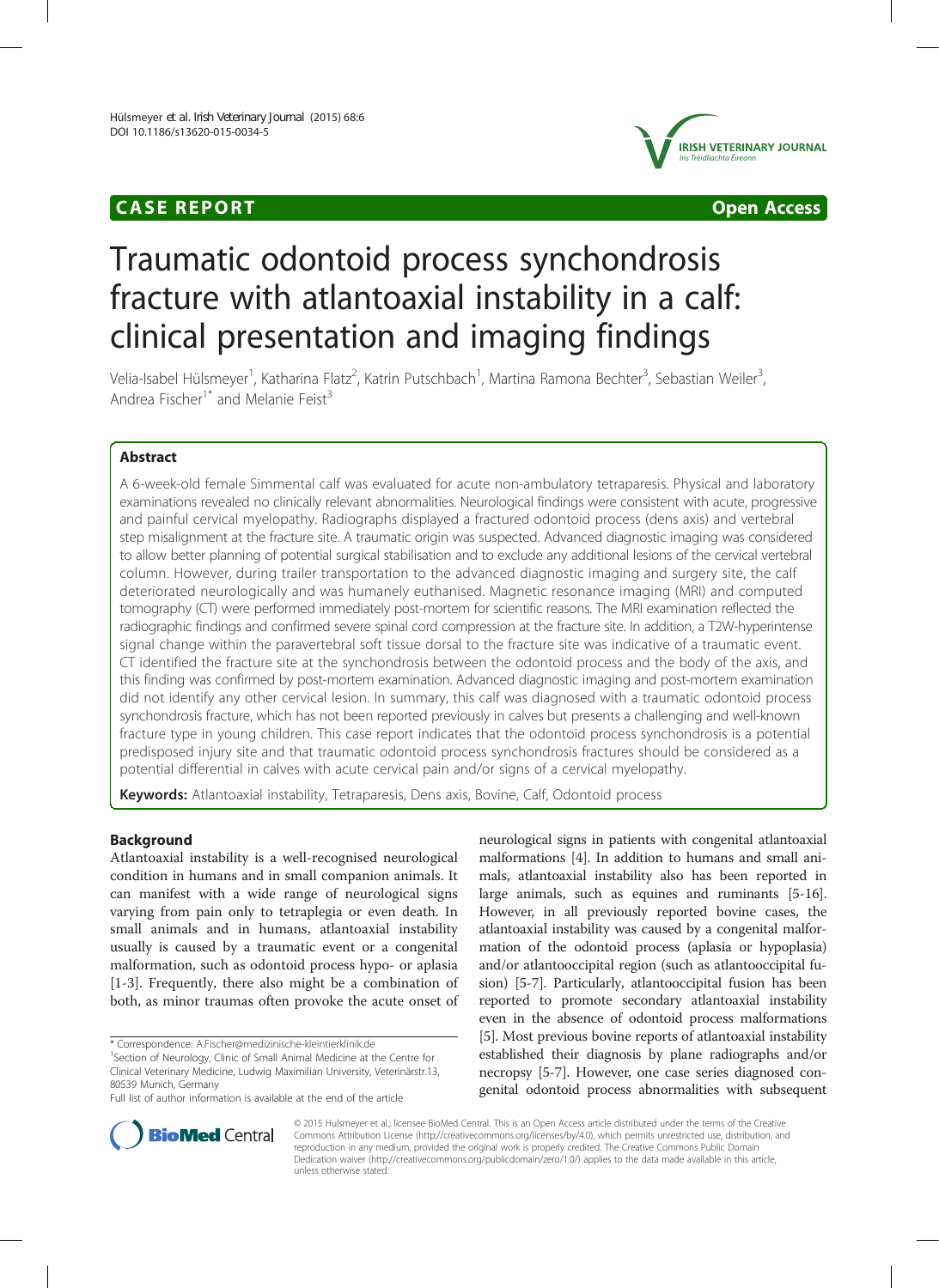## CASE REPORT Open Access



# Traumatic odontoid process synchondrosis fracture with atlantoaxial instability in a calf: clinical presentation and imaging findings

Velia-Isabel Hülsmeyer<sup>1</sup>, Katharina Flatz<sup>2</sup>, Katrin Putschbach<sup>1</sup>, Martina Ramona Bechter<sup>3</sup>, Sebastian Weiler<sup>3</sup> , Andrea Fischer<sup>1\*</sup> and Melanie Feist<sup>3</sup>

## Abstract

A 6-week-old female Simmental calf was evaluated for acute non-ambulatory tetraparesis. Physical and laboratory examinations revealed no clinically relevant abnormalities. Neurological findings were consistent with acute, progressive and painful cervical myelopathy. Radiographs displayed a fractured odontoid process (dens axis) and vertebral step misalignment at the fracture site. A traumatic origin was suspected. Advanced diagnostic imaging was considered to allow better planning of potential surgical stabilisation and to exclude any additional lesions of the cervical vertebral column. However, during trailer transportation to the advanced diagnostic imaging and surgery site, the calf deteriorated neurologically and was humanely euthanised. Magnetic resonance imaging (MRI) and computed tomography (CT) were performed immediately post-mortem for scientific reasons. The MRI examination reflected the radiographic findings and confirmed severe spinal cord compression at the fracture site. In addition, a T2W-hyperintense signal change within the paravertebral soft tissue dorsal to the fracture site was indicative of a traumatic event. CT identified the fracture site at the synchondrosis between the odontoid process and the body of the axis, and this finding was confirmed by post-mortem examination. Advanced diagnostic imaging and post-mortem examination did not identify any other cervical lesion. In summary, this calf was diagnosed with a traumatic odontoid process synchondrosis fracture, which has not been reported previously in calves but presents a challenging and well-known fracture type in young children. This case report indicates that the odontoid process synchondrosis is a potential predisposed injury site and that traumatic odontoid process synchondrosis fractures should be considered as a potential differential in calves with acute cervical pain and/or signs of a cervical myelopathy.

Keywords: Atlantoaxial instability, Tetraparesis, Dens axis, Bovine, Calf, Odontoid process

## Background

Atlantoaxial instability is a well-recognised neurological condition in humans and in small companion animals. It can manifest with a wide range of neurological signs varying from pain only to tetraplegia or even death. In small animals and in humans, atlantoaxial instability usually is caused by a traumatic event or a congenital malformation, such as odontoid process hypo- or aplasia [1-3]. Frequently, there also might be a combination of both, as minor traumas often provoke the acute onset of

\* Correspondence: A.Fischer@medizinische-kleintierklinik.de <sup>1</sup>

<sup>1</sup>Section of Neurology, Clinic of Small Animal Medicine at the Centre for Clinical Veterinary Medicine, Ludwig Maximilian University, Veterinärstr.13, 80539 Munich, Germany

neurological signs in patients with congenital atlantoaxial malformations [4]. In addition to humans and small animals, atlantoaxial instability also has been reported in large animals, such as equines and ruminants [5-16]. However, in all previously reported bovine cases, the atlantoaxial instability was caused by a congenital malformation of the odontoid process (aplasia or hypoplasia) and/or atlantooccipital region (such as atlantooccipital fusion) [5-7]. Particularly, atlantooccipital fusion has been reported to promote secondary atlantoaxial instability even in the absence of odontoid process malformations [5]. Most previous bovine reports of atlantoaxial instability established their diagnosis by plane radiographs and/or necropsy [5-7]. However, one case series diagnosed congenital odontoid process abnormalities with subsequent



© 2015 Hulsmeyer et al.; licensee BioMed Central. This is an Open Access article distributed under the terms of the Creative Commons Attribution License (http://creativecommons.org/licenses/by/4.0), which permits unrestricted use, distribution, and<br>reproduction in any medium, provided the original work is properly credited. The Creative Commons Dedication waiver (http://creativecommons.org/publicdomain/zero/1.0/) applies to the data made available in this article, unless otherwise stated.

Full list of author information is available at the end of the article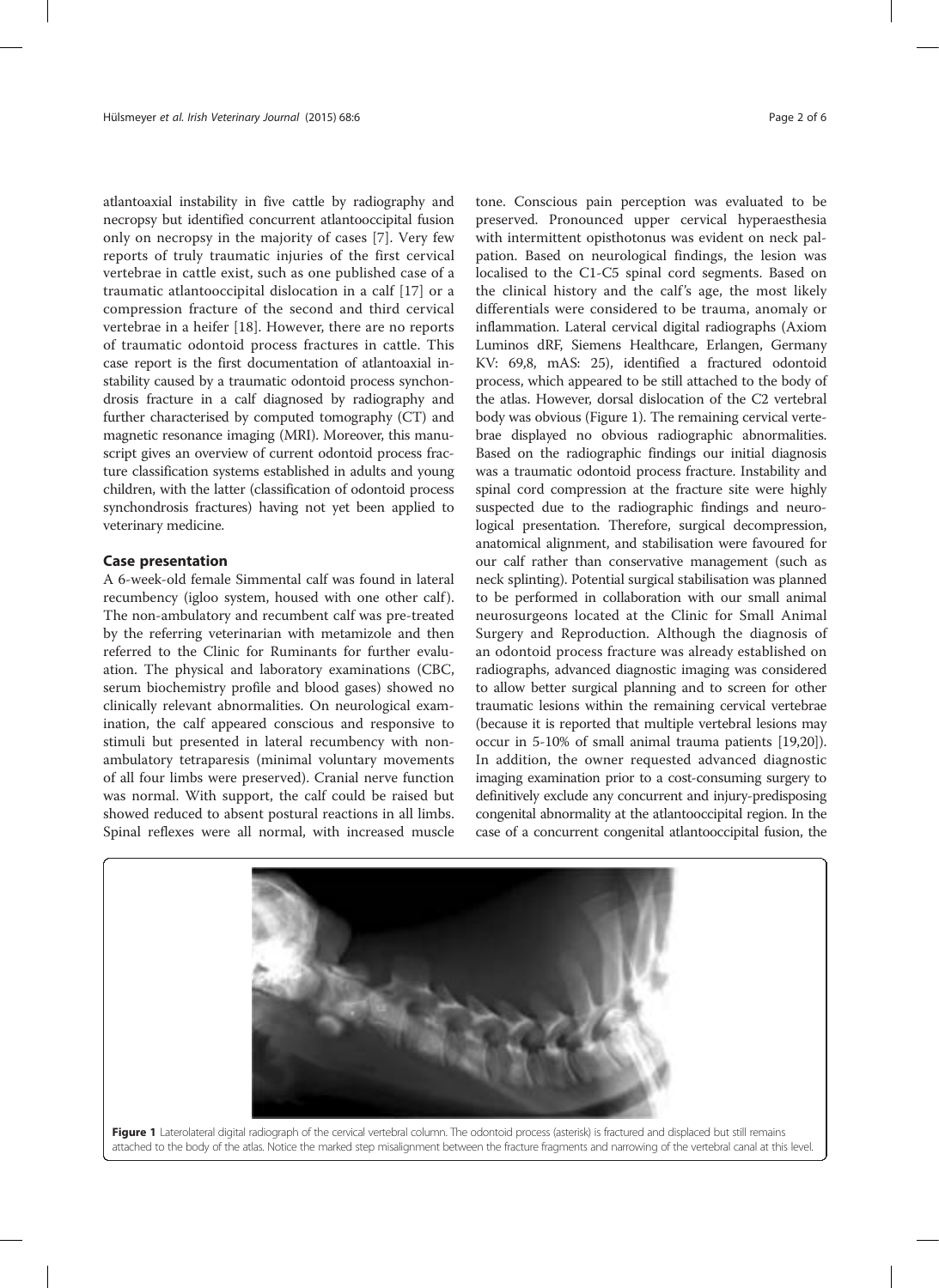atlantoaxial instability in five cattle by radiography and necropsy but identified concurrent atlantooccipital fusion only on necropsy in the majority of cases [7]. Very few reports of truly traumatic injuries of the first cervical vertebrae in cattle exist, such as one published case of a traumatic atlantooccipital dislocation in a calf [17] or a compression fracture of the second and third cervical vertebrae in a heifer [18]. However, there are no reports of traumatic odontoid process fractures in cattle. This case report is the first documentation of atlantoaxial instability caused by a traumatic odontoid process synchondrosis fracture in a calf diagnosed by radiography and further characterised by computed tomography (CT) and magnetic resonance imaging (MRI). Moreover, this manuscript gives an overview of current odontoid process fracture classification systems established in adults and young children, with the latter (classification of odontoid process synchondrosis fractures) having not yet been applied to veterinary medicine.

### Case presentation

A 6-week-old female Simmental calf was found in lateral recumbency (igloo system, housed with one other calf). The non-ambulatory and recumbent calf was pre-treated by the referring veterinarian with metamizole and then referred to the Clinic for Ruminants for further evaluation. The physical and laboratory examinations (CBC, serum biochemistry profile and blood gases) showed no clinically relevant abnormalities. On neurological examination, the calf appeared conscious and responsive to stimuli but presented in lateral recumbency with nonambulatory tetraparesis (minimal voluntary movements of all four limbs were preserved). Cranial nerve function was normal. With support, the calf could be raised but showed reduced to absent postural reactions in all limbs. Spinal reflexes were all normal, with increased muscle

tone. Conscious pain perception was evaluated to be preserved. Pronounced upper cervical hyperaesthesia with intermittent opisthotonus was evident on neck palpation. Based on neurological findings, the lesion was localised to the C1-C5 spinal cord segments. Based on the clinical history and the calf's age, the most likely differentials were considered to be trauma, anomaly or inflammation. Lateral cervical digital radiographs (Axiom Luminos dRF, Siemens Healthcare, Erlangen, Germany KV: 69,8, mAS: 25), identified a fractured odontoid process, which appeared to be still attached to the body of the atlas. However, dorsal dislocation of the C2 vertebral body was obvious (Figure 1). The remaining cervical vertebrae displayed no obvious radiographic abnormalities. Based on the radiographic findings our initial diagnosis was a traumatic odontoid process fracture. Instability and spinal cord compression at the fracture site were highly suspected due to the radiographic findings and neurological presentation. Therefore, surgical decompression, anatomical alignment, and stabilisation were favoured for our calf rather than conservative management (such as neck splinting). Potential surgical stabilisation was planned to be performed in collaboration with our small animal neurosurgeons located at the Clinic for Small Animal Surgery and Reproduction. Although the diagnosis of an odontoid process fracture was already established on radiographs, advanced diagnostic imaging was considered to allow better surgical planning and to screen for other traumatic lesions within the remaining cervical vertebrae (because it is reported that multiple vertebral lesions may occur in 5-10% of small animal trauma patients [19,20]). In addition, the owner requested advanced diagnostic imaging examination prior to a cost-consuming surgery to definitively exclude any concurrent and injury-predisposing congenital abnormality at the atlantooccipital region. In the case of a concurrent congenital atlantooccipital fusion, the

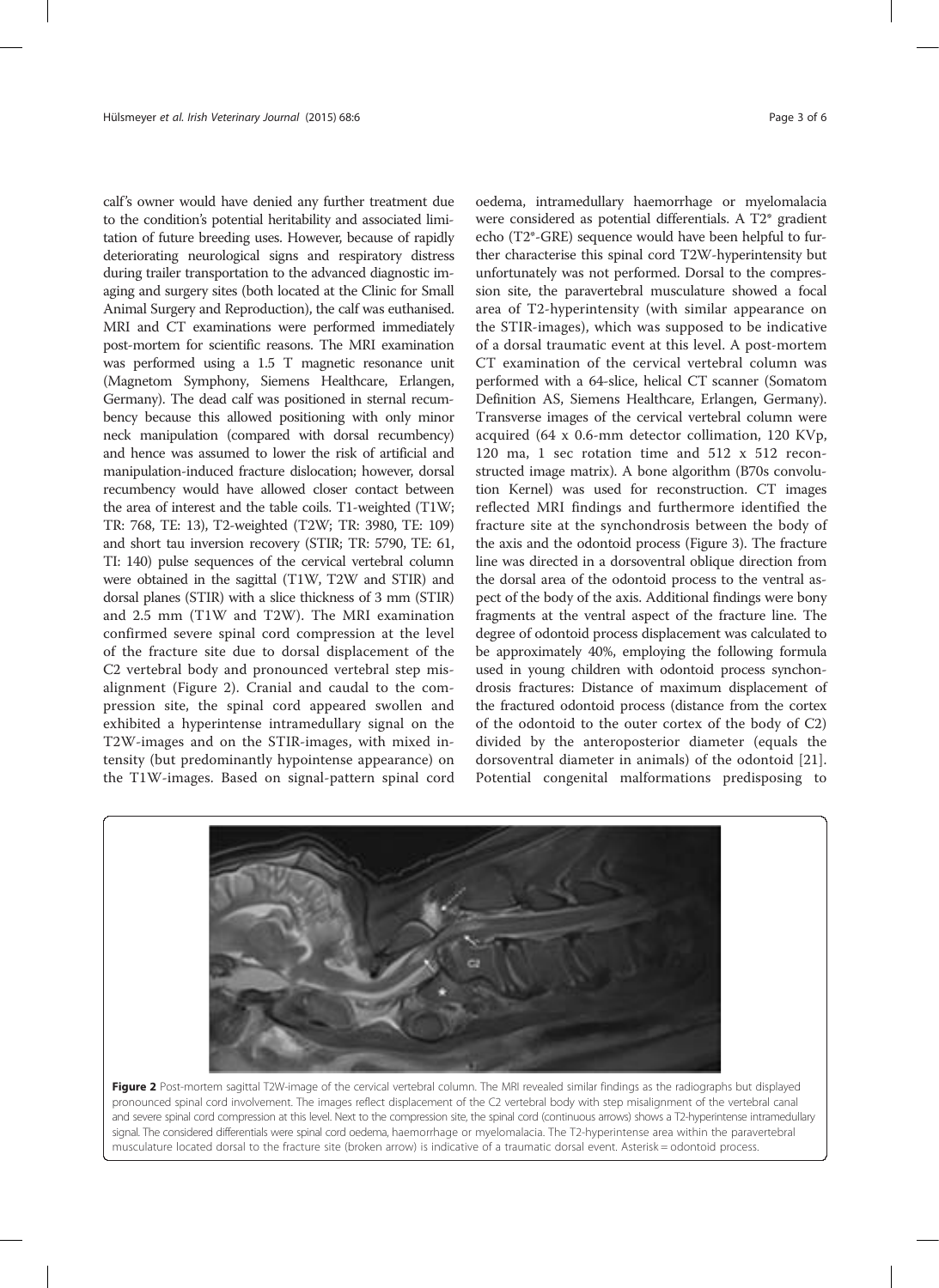calf's owner would have denied any further treatment due to the condition's potential heritability and associated limitation of future breeding uses. However, because of rapidly deteriorating neurological signs and respiratory distress during trailer transportation to the advanced diagnostic imaging and surgery sites (both located at the Clinic for Small Animal Surgery and Reproduction), the calf was euthanised. MRI and CT examinations were performed immediately post-mortem for scientific reasons. The MRI examination was performed using a 1.5 T magnetic resonance unit (Magnetom Symphony, Siemens Healthcare, Erlangen, Germany). The dead calf was positioned in sternal recumbency because this allowed positioning with only minor neck manipulation (compared with dorsal recumbency) and hence was assumed to lower the risk of artificial and manipulation-induced fracture dislocation; however, dorsal recumbency would have allowed closer contact between the area of interest and the table coils. T1-weighted (T1W; TR: 768, TE: 13), T2-weighted (T2W; TR: 3980, TE: 109) and short tau inversion recovery (STIR; TR: 5790, TE: 61, TI: 140) pulse sequences of the cervical vertebral column were obtained in the sagittal (T1W, T2W and STIR) and dorsal planes (STIR) with a slice thickness of 3 mm (STIR) and 2.5 mm (T1W and T2W). The MRI examination confirmed severe spinal cord compression at the level of the fracture site due to dorsal displacement of the C2 vertebral body and pronounced vertebral step misalignment (Figure 2). Cranial and caudal to the compression site, the spinal cord appeared swollen and exhibited a hyperintense intramedullary signal on the T2W-images and on the STIR-images, with mixed intensity (but predominantly hypointense appearance) on the T1W-images. Based on signal-pattern spinal cord

oedema, intramedullary haemorrhage or myelomalacia were considered as potential differentials. A T2\* gradient echo (T2\*-GRE) sequence would have been helpful to further characterise this spinal cord T2W-hyperintensity but unfortunately was not performed. Dorsal to the compression site, the paravertebral musculature showed a focal area of T2-hyperintensity (with similar appearance on the STIR-images), which was supposed to be indicative of a dorsal traumatic event at this level. A post-mortem CT examination of the cervical vertebral column was performed with a 64-slice, helical CT scanner (Somatom Definition AS, Siemens Healthcare, Erlangen, Germany). Transverse images of the cervical vertebral column were acquired (64 x 0.6-mm detector collimation, 120 KVp, 120 ma, 1 sec rotation time and 512 x 512 reconstructed image matrix). A bone algorithm (B70s convolution Kernel) was used for reconstruction. CT images reflected MRI findings and furthermore identified the fracture site at the synchondrosis between the body of the axis and the odontoid process (Figure 3). The fracture line was directed in a dorsoventral oblique direction from the dorsal area of the odontoid process to the ventral aspect of the body of the axis. Additional findings were bony fragments at the ventral aspect of the fracture line. The degree of odontoid process displacement was calculated to be approximately 40%, employing the following formula used in young children with odontoid process synchondrosis fractures: Distance of maximum displacement of the fractured odontoid process (distance from the cortex of the odontoid to the outer cortex of the body of C2) divided by the anteroposterior diameter (equals the dorsoventral diameter in animals) of the odontoid [21]. Potential congenital malformations predisposing to



Figure 2 Post-mortem sagittal T2W-image of the cervical vertebral column. The MRI revealed similar findings as the radiographs but displayed pronounced spinal cord involvement. The images reflect displacement of the C2 vertebral body with step misalignment of the vertebral canal and severe spinal cord compression at this level. Next to the compression site, the spinal cord (continuous arrows) shows a T2-hyperintense intramedullary signal. The considered differentials were spinal cord oedema, haemorrhage or myelomalacia. The T2-hyperintense area within the paravertebral musculature located dorsal to the fracture site (broken arrow) is indicative of a traumatic dorsal event. Asterisk = odontoid process.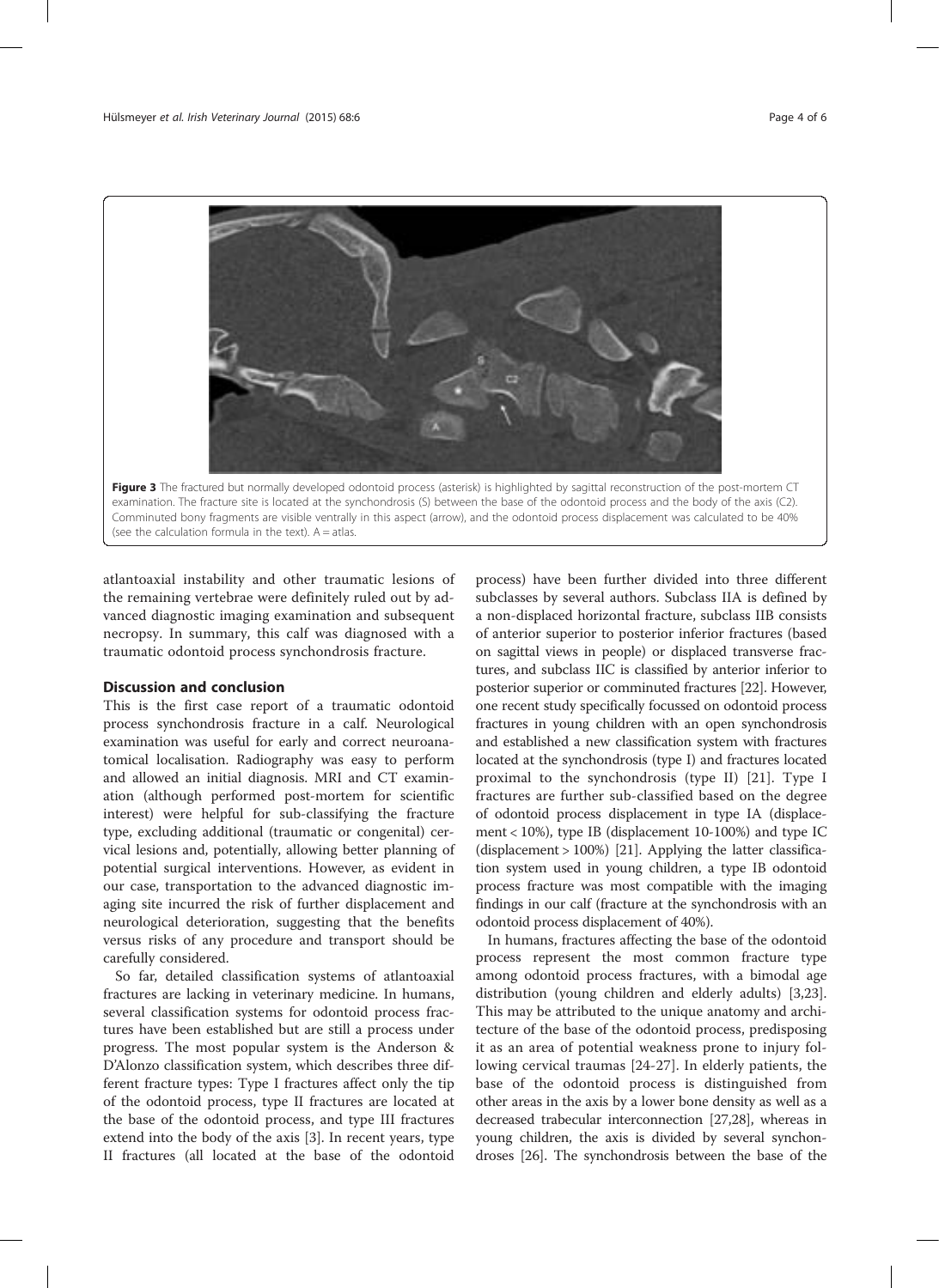

Figure 3 The fractured but normally developed odontoid process (asterisk) is highlighted by sagittal reconstruction of the post-mortem CT examination. The fracture site is located at the synchondrosis (S) between the base of the odontoid process and the body of the axis (C2). Comminuted bony fragments are visible ventrally in this aspect (arrow), and the odontoid process displacement was calculated to be 40% (see the calculation formula in the text).  $A =$  atlas.

atlantoaxial instability and other traumatic lesions of the remaining vertebrae were definitely ruled out by advanced diagnostic imaging examination and subsequent necropsy. In summary, this calf was diagnosed with a traumatic odontoid process synchondrosis fracture.

## Discussion and conclusion

This is the first case report of a traumatic odontoid process synchondrosis fracture in a calf. Neurological examination was useful for early and correct neuroanatomical localisation. Radiography was easy to perform and allowed an initial diagnosis. MRI and CT examination (although performed post-mortem for scientific interest) were helpful for sub-classifying the fracture type, excluding additional (traumatic or congenital) cervical lesions and, potentially, allowing better planning of potential surgical interventions. However, as evident in our case, transportation to the advanced diagnostic imaging site incurred the risk of further displacement and neurological deterioration, suggesting that the benefits versus risks of any procedure and transport should be carefully considered.

So far, detailed classification systems of atlantoaxial fractures are lacking in veterinary medicine. In humans, several classification systems for odontoid process fractures have been established but are still a process under progress. The most popular system is the Anderson & D'Alonzo classification system, which describes three different fracture types: Type I fractures affect only the tip of the odontoid process, type II fractures are located at the base of the odontoid process, and type III fractures extend into the body of the axis [3]. In recent years, type II fractures (all located at the base of the odontoid

process) have been further divided into three different subclasses by several authors. Subclass IIA is defined by a non-displaced horizontal fracture, subclass IIB consists of anterior superior to posterior inferior fractures (based on sagittal views in people) or displaced transverse fractures, and subclass IIC is classified by anterior inferior to posterior superior or comminuted fractures [22]. However, one recent study specifically focussed on odontoid process fractures in young children with an open synchondrosis and established a new classification system with fractures located at the synchondrosis (type I) and fractures located proximal to the synchondrosis (type II) [21]. Type I fractures are further sub-classified based on the degree of odontoid process displacement in type IA (displacement < 10%), type IB (displacement 10-100%) and type IC (displacement > 100%) [21]. Applying the latter classification system used in young children, a type IB odontoid process fracture was most compatible with the imaging findings in our calf (fracture at the synchondrosis with an odontoid process displacement of 40%).

In humans, fractures affecting the base of the odontoid process represent the most common fracture type among odontoid process fractures, with a bimodal age distribution (young children and elderly adults) [3,23]. This may be attributed to the unique anatomy and architecture of the base of the odontoid process, predisposing it as an area of potential weakness prone to injury following cervical traumas [24-27]. In elderly patients, the base of the odontoid process is distinguished from other areas in the axis by a lower bone density as well as a decreased trabecular interconnection [27,28], whereas in young children, the axis is divided by several synchondroses [26]. The synchondrosis between the base of the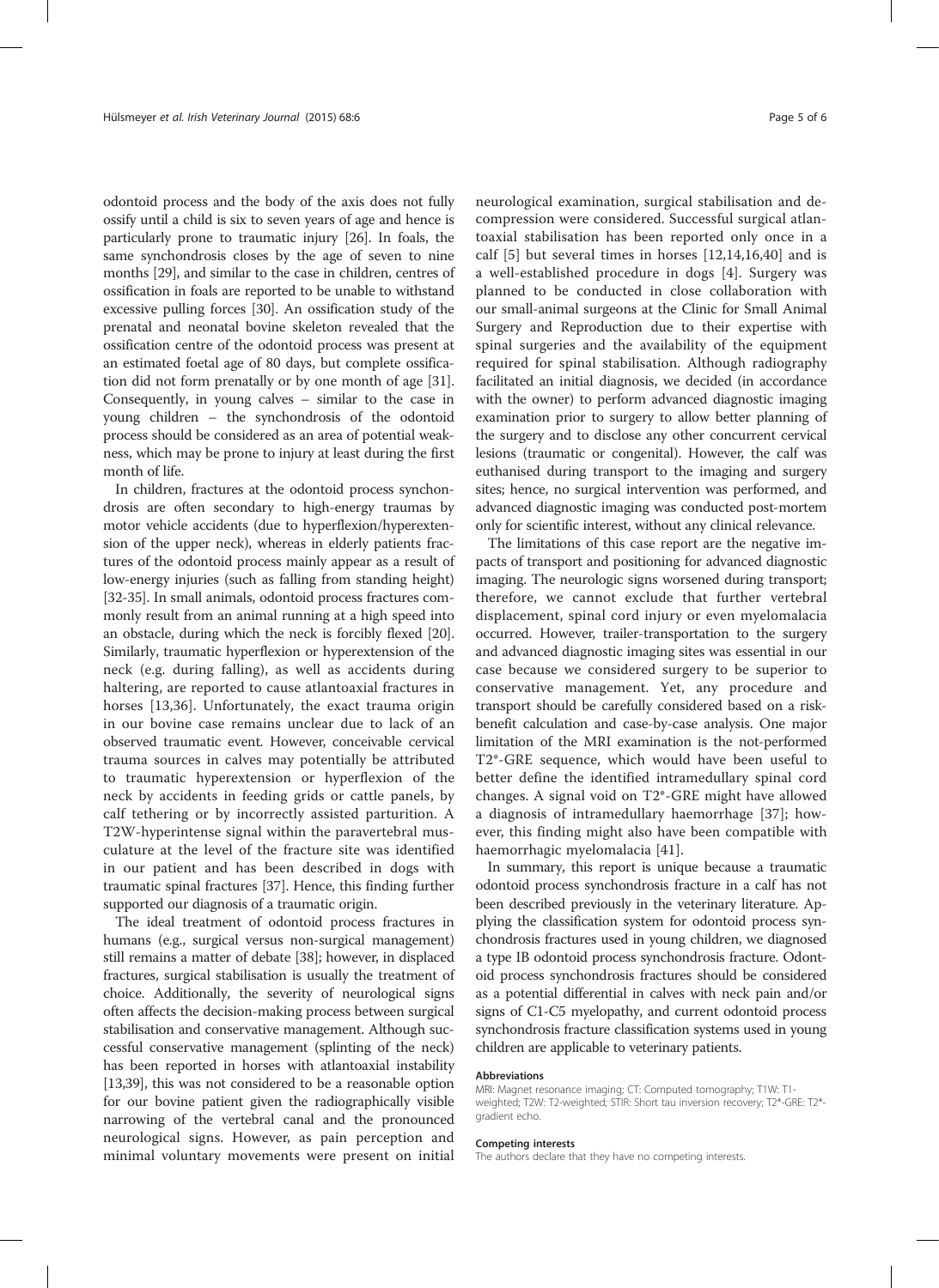odontoid process and the body of the axis does not fully ossify until a child is six to seven years of age and hence is particularly prone to traumatic injury [26]. In foals, the same synchondrosis closes by the age of seven to nine months [29], and similar to the case in children, centres of ossification in foals are reported to be unable to withstand excessive pulling forces [30]. An ossification study of the prenatal and neonatal bovine skeleton revealed that the ossification centre of the odontoid process was present at an estimated foetal age of 80 days, but complete ossification did not form prenatally or by one month of age [31]. Consequently, in young calves – similar to the case in young children – the synchondrosis of the odontoid process should be considered as an area of potential weakness, which may be prone to injury at least during the first month of life.

In children, fractures at the odontoid process synchondrosis are often secondary to high-energy traumas by motor vehicle accidents (due to hyperflexion/hyperextension of the upper neck), whereas in elderly patients fractures of the odontoid process mainly appear as a result of low-energy injuries (such as falling from standing height) [32-35]. In small animals, odontoid process fractures commonly result from an animal running at a high speed into an obstacle, during which the neck is forcibly flexed [20]. Similarly, traumatic hyperflexion or hyperextension of the neck (e.g. during falling), as well as accidents during haltering, are reported to cause atlantoaxial fractures in horses [13,36]. Unfortunately, the exact trauma origin in our bovine case remains unclear due to lack of an observed traumatic event. However, conceivable cervical trauma sources in calves may potentially be attributed to traumatic hyperextension or hyperflexion of the neck by accidents in feeding grids or cattle panels, by calf tethering or by incorrectly assisted parturition. A T2W-hyperintense signal within the paravertebral musculature at the level of the fracture site was identified in our patient and has been described in dogs with traumatic spinal fractures [37]. Hence, this finding further supported our diagnosis of a traumatic origin.

The ideal treatment of odontoid process fractures in humans (e.g., surgical versus non-surgical management) still remains a matter of debate [38]; however, in displaced fractures, surgical stabilisation is usually the treatment of choice. Additionally, the severity of neurological signs often affects the decision-making process between surgical stabilisation and conservative management. Although successful conservative management (splinting of the neck) has been reported in horses with atlantoaxial instability [13,39], this was not considered to be a reasonable option for our bovine patient given the radiographically visible narrowing of the vertebral canal and the pronounced neurological signs. However, as pain perception and minimal voluntary movements were present on initial

neurological examination, surgical stabilisation and decompression were considered. Successful surgical atlantoaxial stabilisation has been reported only once in a calf [5] but several times in horses [12,14,16,40] and is a well-established procedure in dogs [4]. Surgery was planned to be conducted in close collaboration with our small-animal surgeons at the Clinic for Small Animal Surgery and Reproduction due to their expertise with spinal surgeries and the availability of the equipment required for spinal stabilisation. Although radiography facilitated an initial diagnosis, we decided (in accordance with the owner) to perform advanced diagnostic imaging examination prior to surgery to allow better planning of the surgery and to disclose any other concurrent cervical lesions (traumatic or congenital). However, the calf was euthanised during transport to the imaging and surgery sites; hence, no surgical intervention was performed, and advanced diagnostic imaging was conducted post-mortem only for scientific interest, without any clinical relevance.

The limitations of this case report are the negative impacts of transport and positioning for advanced diagnostic imaging. The neurologic signs worsened during transport; therefore, we cannot exclude that further vertebral displacement, spinal cord injury or even myelomalacia occurred. However, trailer-transportation to the surgery and advanced diagnostic imaging sites was essential in our case because we considered surgery to be superior to conservative management. Yet, any procedure and transport should be carefully considered based on a riskbenefit calculation and case-by-case analysis. One major limitation of the MRI examination is the not-performed T2\*-GRE sequence, which would have been useful to better define the identified intramedullary spinal cord changes. A signal void on T2\*-GRE might have allowed a diagnosis of intramedullary haemorrhage [37]; however, this finding might also have been compatible with haemorrhagic myelomalacia [41].

In summary, this report is unique because a traumatic odontoid process synchondrosis fracture in a calf has not been described previously in the veterinary literature. Applying the classification system for odontoid process synchondrosis fractures used in young children, we diagnosed a type IB odontoid process synchondrosis fracture. Odontoid process synchondrosis fractures should be considered as a potential differential in calves with neck pain and/or signs of C1-C5 myelopathy, and current odontoid process synchondrosis fracture classification systems used in young children are applicable to veterinary patients.

#### Abbreviations

#### Competing interests

The authors declare that they have no competing interests.

MRI: Magnet resonance imaging; CT: Computed tomography; T1W: T1 weighted; T2W: T2-weighted; STIR: Short tau inversion recovery; T2\*-GRE: T2\* gradient echo.